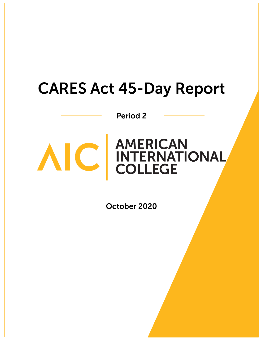# **CARES Act 45-Day Report**

**Period 2** 



# AIC AMERICAN<br>COLLEGE

October 2020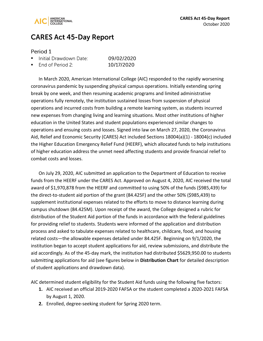

## **CARES Act 45-Day Report**

#### Period 1

| Initial Drawdown Date: | 09/02/2020 |
|------------------------|------------|
|                        |            |

. End of Period 2: 10/17/2020

In March 2020, American International College (AIC) responded to the rapidly worsening coronavirus pandemic by suspending physical campus operations. Initially extending spring break by one week, and then resuming academic programs and limited administrative operations fully remotely, the institution sustained losses from suspension of physical operations and incurred costs from building a remote learning system, as students incurred new expenses from changing living and learning situations. Most other institutions of higher education in the United States and student populations experienced similar changes to operations and ensuing costs and losses. Signed into law on March 27, 2020, the Coronavirus Aid, Relief and Economic Security (CARES) Act included Sections 18004(a)(1) - 18004(c) included the Higher Education Emergency Relief Fund (HEERF), which allocated funds to help institutions of higher education address the unmet need affecting students and provide financial relief to combat costs and losses.

On July 29, 2020, AIC submitted an application to the Department of Education to receive funds from the HEERF under the CARES Act. Approved on August 4, 2020, AIC received the total award of \$1,970,878 from the HEERF and committed to using 50% of the funds (\$985,439) for the direct-to-student aid portion of the grant (84.425F) and the other 50% (\$985,439) to supplement institutional expenses related to the efforts to move to distance learning during campus shutdown (84.425M). Upon receipt of the award, the College designed a rubric for distribution of the Student Aid portion of the funds in accordance with the federal guidelines for providing relief to students. Students were informed of the application and distribution process and asked to tabulate expenses related to healthcare, childcare, food, and housing related costs—the allowable expenses detailed under 84.425F. Beginning on 9/1/2020, the institution began to accept student applications for aid, review submissions, and distribute the aid accordingly. As of the 45-day mark, the institution had distributed \$5629,950.00 to students submitting applications for aid (see figures below in **Distribution Chart** for detailed description of student applications and drawdown data).

AIC determined student eligibility for the Student Aid funds using the following five factors:

- **1.** AIC received an official 2019-2020 FAFSA or the student completed a 2020-2021 FAFSA by August 1, 2020.
- **2.** Enrolled, degree-seeking student for Spring 2020 term.